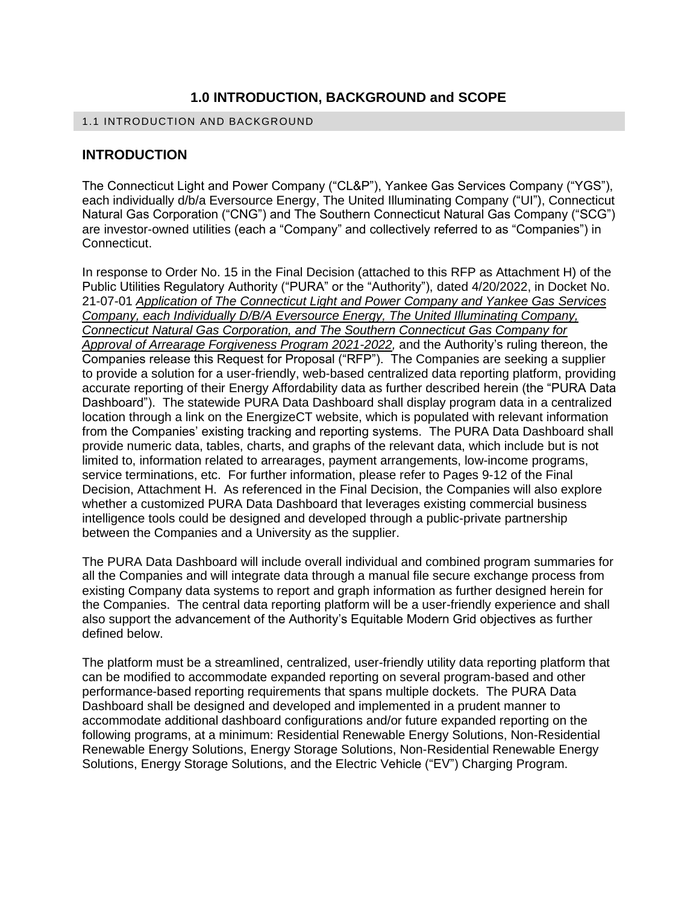# **1.0 INTRODUCTION, BACKGROUND and SCOPE**

#### 1.1 INTRODUCTION AND BACKGROUND

### **INTRODUCTION**

The Connecticut Light and Power Company ("CL&P"), Yankee Gas Services Company ("YGS"), each individually d/b/a Eversource Energy, The United Illuminating Company ("UI"), Connecticut Natural Gas Corporation ("CNG") and The Southern Connecticut Natural Gas Company ("SCG") are investor-owned utilities (each a "Company" and collectively referred to as "Companies") in Connecticut.

In response to Order No. 15 in the Final Decision (attached to this RFP as Attachment H) of the Public Utilities Regulatory Authority ("PURA" or the "Authority"), dated 4/20/2022, in Docket No. 21-07-01 *Application of The Connecticut Light and Power Company and Yankee Gas Services Company, each Individually D/B/A Eversource Energy, The United Illuminating Company, Connecticut Natural Gas Corporation, and The Southern Connecticut Gas Company for Approval of Arrearage Forgiveness Program 2021-2022,* and the Authority's ruling thereon, the Companies release this Request for Proposal ("RFP"). The Companies are seeking a supplier to provide a solution for a user-friendly, web-based centralized data reporting platform, providing accurate reporting of their Energy Affordability data as further described herein (the "PURA Data Dashboard"). The statewide PURA Data Dashboard shall display program data in a centralized location through a link on the EnergizeCT website, which is populated with relevant information from the Companies' existing tracking and reporting systems. The PURA Data Dashboard shall provide numeric data, tables, charts, and graphs of the relevant data, which include but is not limited to, information related to arrearages, payment arrangements, low-income programs, service terminations, etc. For further information, please refer to Pages 9-12 of the Final Decision, Attachment H. As referenced in the Final Decision, the Companies will also explore whether a customized PURA Data Dashboard that leverages existing commercial business intelligence tools could be designed and developed through a public-private partnership between the Companies and a University as the supplier.

The PURA Data Dashboard will include overall individual and combined program summaries for all the Companies and will integrate data through a manual file secure exchange process from existing Company data systems to report and graph information as further designed herein for the Companies. The central data reporting platform will be a user-friendly experience and shall also support the advancement of the Authority's Equitable Modern Grid objectives as further defined below.

The platform must be a streamlined, centralized, user-friendly utility data reporting platform that can be modified to accommodate expanded reporting on several program-based and other performance-based reporting requirements that spans multiple dockets. The PURA Data Dashboard shall be designed and developed and implemented in a prudent manner to accommodate additional dashboard configurations and/or future expanded reporting on the following programs, at a minimum: Residential Renewable Energy Solutions, Non-Residential Renewable Energy Solutions, Energy Storage Solutions, Non-Residential Renewable Energy Solutions, Energy Storage Solutions, and the Electric Vehicle ("EV") Charging Program.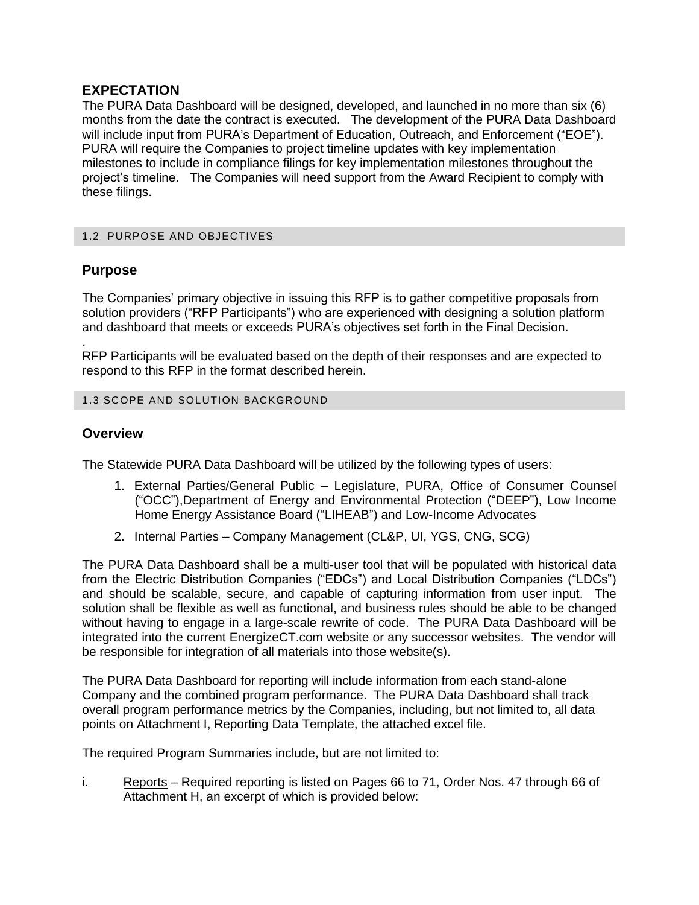# **EXPECTATION**

The PURA Data Dashboard will be designed, developed, and launched in no more than six (6) months from the date the contract is executed. The development of the PURA Data Dashboard will include input from PURA's Department of Education, Outreach, and Enforcement ("EOE"). PURA will require the Companies to project timeline updates with key implementation milestones to include in compliance filings for key implementation milestones throughout the project's timeline. The Companies will need support from the Award Recipient to comply with these filings.

#### 1.2 PURPOSE AND OBJECTIVES

### **Purpose**

The Companies' primary objective in issuing this RFP is to gather competitive proposals from solution providers ("RFP Participants") who are experienced with designing a solution platform and dashboard that meets or exceeds PURA's objectives set forth in the Final Decision.

. RFP Participants will be evaluated based on the depth of their responses and are expected to respond to this RFP in the format described herein.

#### 1.3 SCOPE AND SOLUTION BACKGROUND

## **Overview**

The Statewide PURA Data Dashboard will be utilized by the following types of users:

- 1. External Parties/General Public Legislature, PURA, Office of Consumer Counsel ("OCC"),Department of Energy and Environmental Protection ("DEEP"), Low Income Home Energy Assistance Board ("LIHEAB") and Low-Income Advocates
- 2. Internal Parties Company Management (CL&P, UI, YGS, CNG, SCG)

The PURA Data Dashboard shall be a multi-user tool that will be populated with historical data from the Electric Distribution Companies ("EDCs") and Local Distribution Companies ("LDCs") and should be scalable, secure, and capable of capturing information from user input. The solution shall be flexible as well as functional, and business rules should be able to be changed without having to engage in a large-scale rewrite of code. The PURA Data Dashboard will be integrated into the current EnergizeCT.com website or any successor websites. The vendor will be responsible for integration of all materials into those website(s).

The PURA Data Dashboard for reporting will include information from each stand-alone Company and the combined program performance. The PURA Data Dashboard shall track overall program performance metrics by the Companies, including, but not limited to, all data points on Attachment I, Reporting Data Template, the attached excel file.

The required Program Summaries include, but are not limited to:

i. Reports – Required reporting is listed on Pages 66 to 71, Order Nos. 47 through 66 of Attachment H, an excerpt of which is provided below: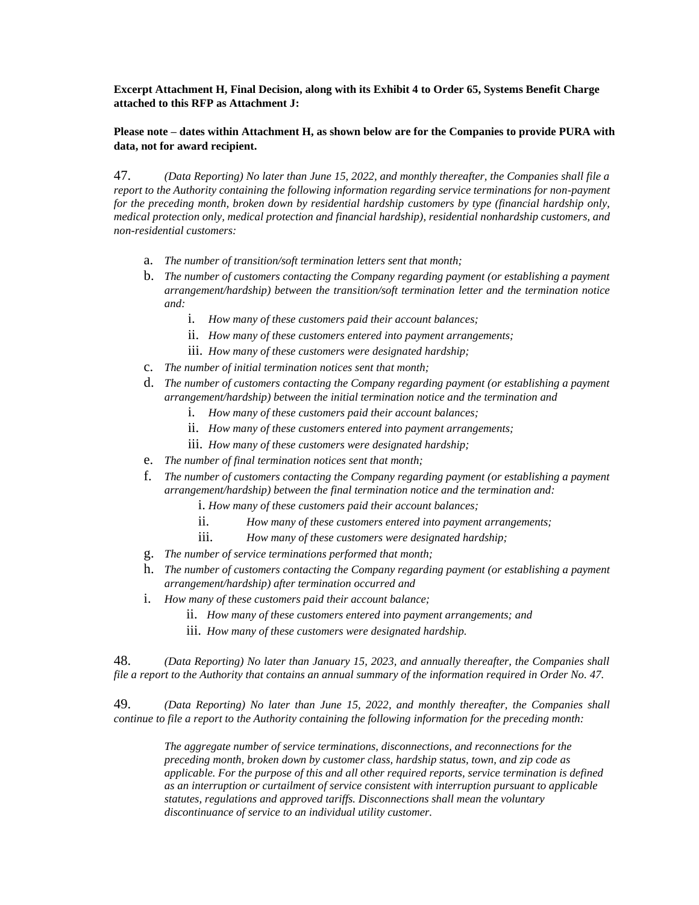**Excerpt Attachment H, Final Decision, along with its Exhibit 4 to Order 65, Systems Benefit Charge attached to this RFP as Attachment J:** 

#### **Please note – dates within Attachment H, as shown below are for the Companies to provide PURA with data, not for award recipient.**

47. *(Data Reporting) No later than June 15, 2022, and monthly thereafter, the Companies shall file a report to the Authority containing the following information regarding service terminations for non-payment for the preceding month, broken down by residential hardship customers by type (financial hardship only, medical protection only, medical protection and financial hardship), residential nonhardship customers, and non-residential customers:* 

- a. *The number of transition/soft termination letters sent that month;*
- b. *The number of customers contacting the Company regarding payment (or establishing a payment arrangement/hardship) between the transition/soft termination letter and the termination notice and:* 
	- i. *How many of these customers paid their account balances;*
	- ii. *How many of these customers entered into payment arrangements;*
	- iii. *How many of these customers were designated hardship;*
- c. *The number of initial termination notices sent that month;*
- d. *The number of customers contacting the Company regarding payment (or establishing a payment arrangement/hardship) between the initial termination notice and the termination and* 
	- i. *How many of these customers paid their account balances;*
	- ii. *How many of these customers entered into payment arrangements;*
	- iii. *How many of these customers were designated hardship;*
- e. *The number of final termination notices sent that month;*
- f. *The number of customers contacting the Company regarding payment (or establishing a payment arrangement/hardship) between the final termination notice and the termination and:* 
	- i. *How many of these customers paid their account balances;*
	- ii. *How many of these customers entered into payment arrangements;*
	- iii. *How many of these customers were designated hardship;*
- g. *The number of service terminations performed that month;*
- h. *The number of customers contacting the Company regarding payment (or establishing a payment arrangement/hardship) after termination occurred and*
- i. *How many of these customers paid their account balance;* 
	- ii. *How many of these customers entered into payment arrangements; and*
	- iii. *How many of these customers were designated hardship.*

48. *(Data Reporting) No later than January 15, 2023, and annually thereafter, the Companies shall file a report to the Authority that contains an annual summary of the information required in Order No. 47.* 

49. *(Data Reporting) No later than June 15, 2022, and monthly thereafter, the Companies shall continue to file a report to the Authority containing the following information for the preceding month:* 

*The aggregate number of service terminations, disconnections, and reconnections for the preceding month, broken down by customer class, hardship status, town, and zip code as applicable. For the purpose of this and all other required reports, service termination is defined as an interruption or curtailment of service consistent with interruption pursuant to applicable statutes, regulations and approved tariffs. Disconnections shall mean the voluntary discontinuance of service to an individual utility customer.*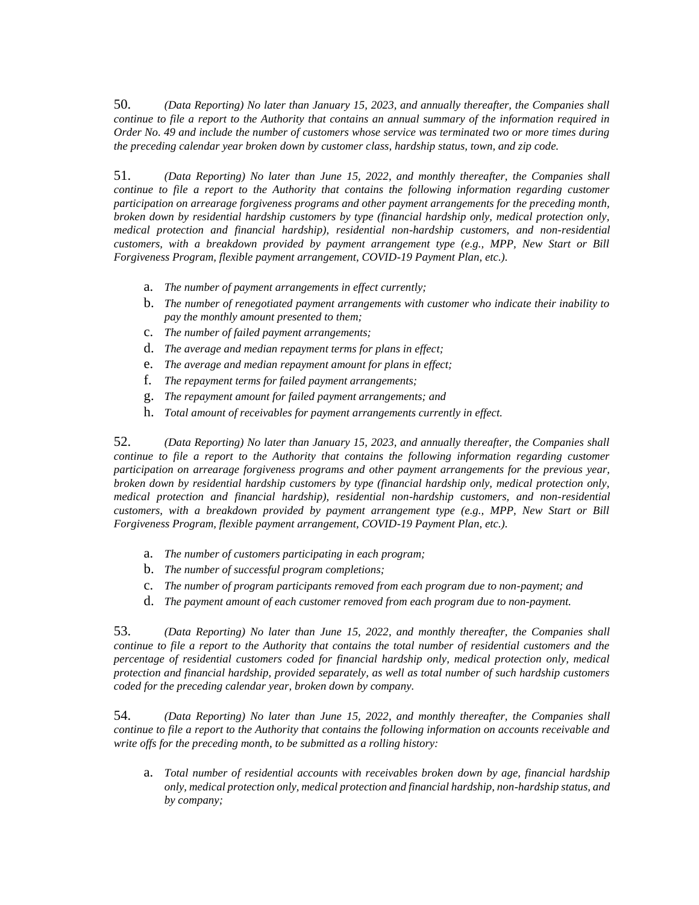50. *(Data Reporting) No later than January 15, 2023, and annually thereafter, the Companies shall continue to file a report to the Authority that contains an annual summary of the information required in Order No. 49 and include the number of customers whose service was terminated two or more times during the preceding calendar year broken down by customer class, hardship status, town, and zip code.* 

51. *(Data Reporting) No later than June 15, 2022, and monthly thereafter, the Companies shall continue to file a report to the Authority that contains the following information regarding customer participation on arrearage forgiveness programs and other payment arrangements for the preceding month, broken down by residential hardship customers by type (financial hardship only, medical protection only, medical protection and financial hardship), residential non-hardship customers, and non-residential customers, with a breakdown provided by payment arrangement type (e.g., MPP, New Start or Bill Forgiveness Program, flexible payment arrangement, COVID-19 Payment Plan, etc.).* 

- a. *The number of payment arrangements in effect currently;*
- b. *The number of renegotiated payment arrangements with customer who indicate their inability to pay the monthly amount presented to them;*
- c. *The number of failed payment arrangements;*
- d. *The average and median repayment terms for plans in effect;*
- e. *The average and median repayment amount for plans in effect;*
- f. *The repayment terms for failed payment arrangements;*
- g. *The repayment amount for failed payment arrangements; and*
- h. *Total amount of receivables for payment arrangements currently in effect.*

52. *(Data Reporting) No later than January 15, 2023, and annually thereafter, the Companies shall continue to file a report to the Authority that contains the following information regarding customer participation on arrearage forgiveness programs and other payment arrangements for the previous year, broken down by residential hardship customers by type (financial hardship only, medical protection only, medical protection and financial hardship), residential non-hardship customers, and non-residential customers, with a breakdown provided by payment arrangement type (e.g., MPP, New Start or Bill Forgiveness Program, flexible payment arrangement, COVID-19 Payment Plan, etc.).* 

- a. *The number of customers participating in each program;*
- b. *The number of successful program completions;*
- c. *The number of program participants removed from each program due to non-payment; and*
- d. *The payment amount of each customer removed from each program due to non-payment.*

53. *(Data Reporting) No later than June 15, 2022, and monthly thereafter, the Companies shall continue to file a report to the Authority that contains the total number of residential customers and the percentage of residential customers coded for financial hardship only, medical protection only, medical protection and financial hardship, provided separately, as well as total number of such hardship customers coded for the preceding calendar year, broken down by company.* 

54. *(Data Reporting) No later than June 15, 2022, and monthly thereafter, the Companies shall continue to file a report to the Authority that contains the following information on accounts receivable and write offs for the preceding month, to be submitted as a rolling history:* 

a. *Total number of residential accounts with receivables broken down by age, financial hardship only, medical protection only, medical protection and financial hardship, non-hardship status, and by company;*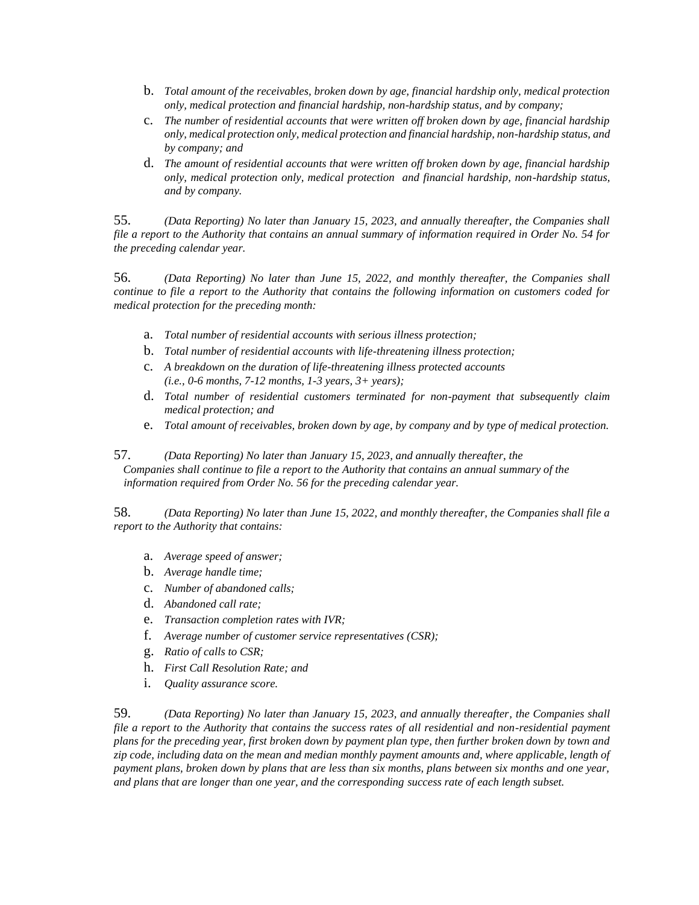- b. *Total amount of the receivables, broken down by age, financial hardship only, medical protection only, medical protection and financial hardship, non-hardship status, and by company;*
- c. *The number of residential accounts that were written off broken down by age, financial hardship only, medical protection only, medical protection and financial hardship, non-hardship status, and by company; and*
- d. *The amount of residential accounts that were written off broken down by age, financial hardship only, medical protection only, medical protection and financial hardship, non-hardship status, and by company.*

55. *(Data Reporting) No later than January 15, 2023, and annually thereafter, the Companies shall file a report to the Authority that contains an annual summary of information required in Order No. 54 for the preceding calendar year.* 

56. *(Data Reporting) No later than June 15, 2022, and monthly thereafter, the Companies shall continue to file a report to the Authority that contains the following information on customers coded for medical protection for the preceding month:* 

- a. *Total number of residential accounts with serious illness protection;*
- b. *Total number of residential accounts with life-threatening illness protection;*
- c. *A breakdown on the duration of life-threatening illness protected accounts (i.e., 0-6 months, 7-12 months, 1-3 years, 3+ years);*
- d. *Total number of residential customers terminated for non-payment that subsequently claim medical protection; and*
- e. *Total amount of receivables, broken down by age, by company and by type of medical protection.*

57. *(Data Reporting) No later than January 15, 2023, and annually thereafter, the Companies shall continue to file a report to the Authority that contains an annual summary of the information required from Order No. 56 for the preceding calendar year.* 

58. *(Data Reporting) No later than June 15, 2022, and monthly thereafter, the Companies shall file a report to the Authority that contains:* 

- a. *Average speed of answer;*
- b. *Average handle time;*
- c. *Number of abandoned calls;*
- d. *Abandoned call rate;*
- e. *Transaction completion rates with IVR;*
- f. *Average number of customer service representatives (CSR);*
- g. *Ratio of calls to CSR;*
- h. *First Call Resolution Rate; and*
- i. *Quality assurance score.*

59. *(Data Reporting) No later than January 15, 2023, and annually thereafter, the Companies shall file a report to the Authority that contains the success rates of all residential and non-residential payment plans for the preceding year, first broken down by payment plan type, then further broken down by town and zip code, including data on the mean and median monthly payment amounts and, where applicable, length of payment plans, broken down by plans that are less than six months, plans between six months and one year, and plans that are longer than one year, and the corresponding success rate of each length subset.*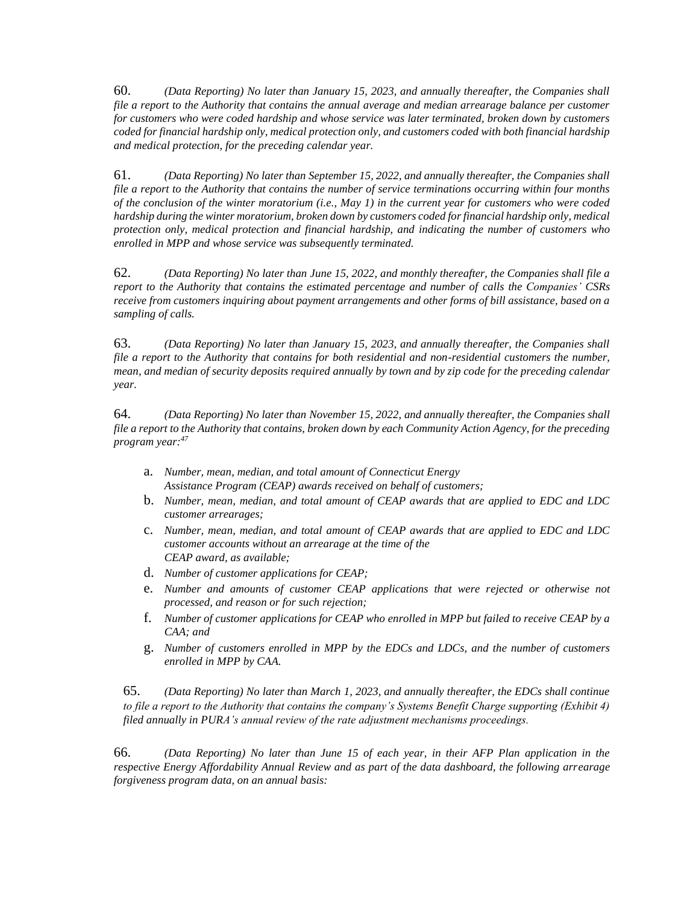60. *(Data Reporting) No later than January 15, 2023, and annually thereafter, the Companies shall file a report to the Authority that contains the annual average and median arrearage balance per customer for customers who were coded hardship and whose service was later terminated, broken down by customers coded for financial hardship only, medical protection only, and customers coded with both financial hardship and medical protection, for the preceding calendar year.* 

61. *(Data Reporting) No later than September 15, 2022, and annually thereafter, the Companies shall file a report to the Authority that contains the number of service terminations occurring within four months of the conclusion of the winter moratorium (i.e., May 1) in the current year for customers who were coded hardship during the winter moratorium, broken down by customers coded for financial hardship only, medical protection only, medical protection and financial hardship, and indicating the number of customers who enrolled in MPP and whose service was subsequently terminated.* 

62. *(Data Reporting) No later than June 15, 2022, and monthly thereafter, the Companies shall file a report to the Authority that contains the estimated percentage and number of calls the Companies' CSRs receive from customers inquiring about payment arrangements and other forms of bill assistance, based on a sampling of calls.* 

63. *(Data Reporting) No later than January 15, 2023, and annually thereafter, the Companies shall file a report to the Authority that contains for both residential and non-residential customers the number, mean, and median of security deposits required annually by town and by zip code for the preceding calendar year.* 

64. *(Data Reporting) No later than November 15, 2022, and annually thereafter, the Companies shall file a report to the Authority that contains, broken down by each Community Action Agency, for the preceding program year:<sup>47</sup>*

- a. *Number, mean, median, and total amount of Connecticut Energy Assistance Program (CEAP) awards received on behalf of customers;*
- b. *Number, mean, median, and total amount of CEAP awards that are applied to EDC and LDC customer arrearages;*
- c. *Number, mean, median, and total amount of CEAP awards that are applied to EDC and LDC customer accounts without an arrearage at the time of the CEAP award, as available;*
- d. *Number of customer applications for CEAP;*
- e. *Number and amounts of customer CEAP applications that were rejected or otherwise not processed, and reason or for such rejection;*
- f. *Number of customer applications for CEAP who enrolled in MPP but failed to receive CEAP by a CAA; and*
- g. *Number of customers enrolled in MPP by the EDCs and LDCs, and the number of customers enrolled in MPP by CAA.*

65. *(Data Reporting) No later than March 1, 2023, and annually thereafter, the EDCs shall continue to file a report to the Authority that contains the company's Systems Benefit Charge supporting (Exhibit 4) filed annually in PURA's annual review of the rate adjustment mechanisms proceedings.* 

66. *(Data Reporting) No later than June 15 of each year, in their AFP Plan application in the respective Energy Affordability Annual Review and as part of the data dashboard, the following arrearage forgiveness program data, on an annual basis:*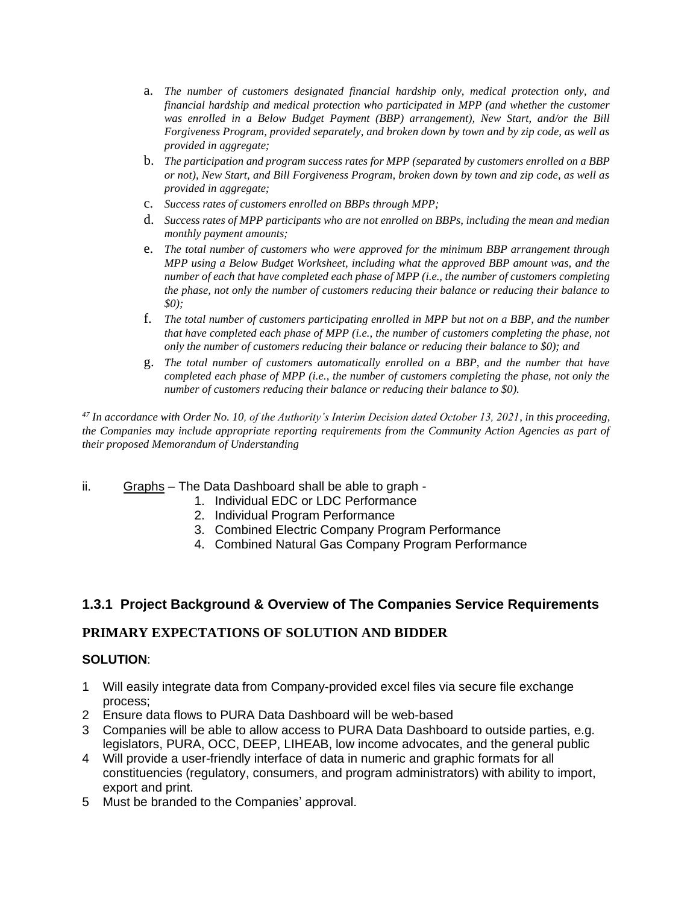- a. *The number of customers designated financial hardship only, medical protection only, and financial hardship and medical protection who participated in MPP (and whether the customer was enrolled in a Below Budget Payment (BBP) arrangement), New Start, and/or the Bill Forgiveness Program, provided separately, and broken down by town and by zip code, as well as provided in aggregate;*
- b. *The participation and program success rates for MPP (separated by customers enrolled on a BBP or not), New Start, and Bill Forgiveness Program, broken down by town and zip code, as well as provided in aggregate;*
- c. *Success rates of customers enrolled on BBPs through MPP;*
- d. *Success rates of MPP participants who are not enrolled on BBPs, including the mean and median monthly payment amounts;*
- e. *The total number of customers who were approved for the minimum BBP arrangement through MPP using a Below Budget Worksheet, including what the approved BBP amount was, and the number of each that have completed each phase of MPP (i.e., the number of customers completing the phase, not only the number of customers reducing their balance or reducing their balance to \$0);*
- f. *The total number of customers participating enrolled in MPP but not on a BBP, and the number that have completed each phase of MPP (i.e., the number of customers completing the phase, not only the number of customers reducing their balance or reducing their balance to \$0); and*
- g. *The total number of customers automatically enrolled on a BBP, and the number that have completed each phase of MPP (i.e., the number of customers completing the phase, not only the number of customers reducing their balance or reducing their balance to \$0).*

*<sup>47</sup> In accordance with Order No. 10, of the Authority's Interim Decision dated October 13, 2021, in this proceeding, the Companies may include appropriate reporting requirements from the Community Action Agencies as part of their proposed Memorandum of Understanding*

- ii. Graphs The Data Dashboard shall be able to graph
	- 1. Individual EDC or LDC Performance
	- 2. Individual Program Performance
	- 3. Combined Electric Company Program Performance
	- 4. Combined Natural Gas Company Program Performance

# **1.3.1 Project Background & Overview of The Companies Service Requirements**

### **PRIMARY EXPECTATIONS OF SOLUTION AND BIDDER**

## **SOLUTION**:

- 1 Will easily integrate data from Company-provided excel files via secure file exchange process;
- 2 Ensure data flows to PURA Data Dashboard will be web-based
- 3 Companies will be able to allow access to PURA Data Dashboard to outside parties, e.g. legislators, PURA, OCC, DEEP, LIHEAB, low income advocates, and the general public
- 4 Will provide a user-friendly interface of data in numeric and graphic formats for all constituencies (regulatory, consumers, and program administrators) with ability to import, export and print.
- 5 Must be branded to the Companies' approval.